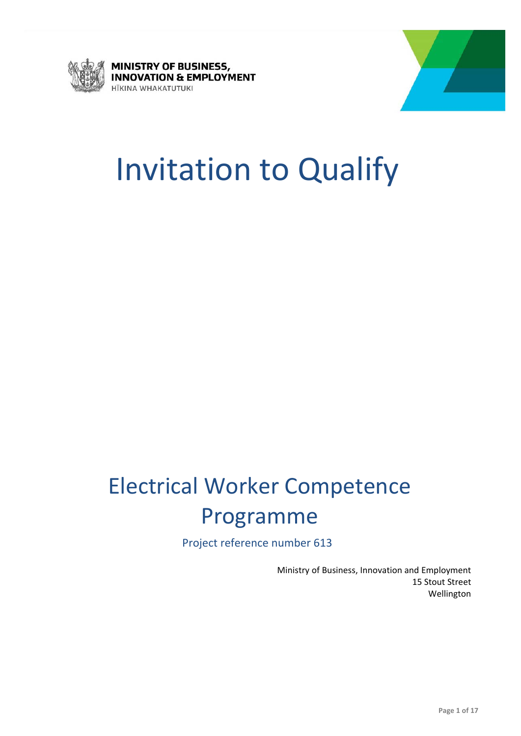



# Invitation to Qualify

## Electrical Worker Competence Programme

Project reference number 613

 Ministry of Business, Innovation and Employment 15 Stout Street Wellington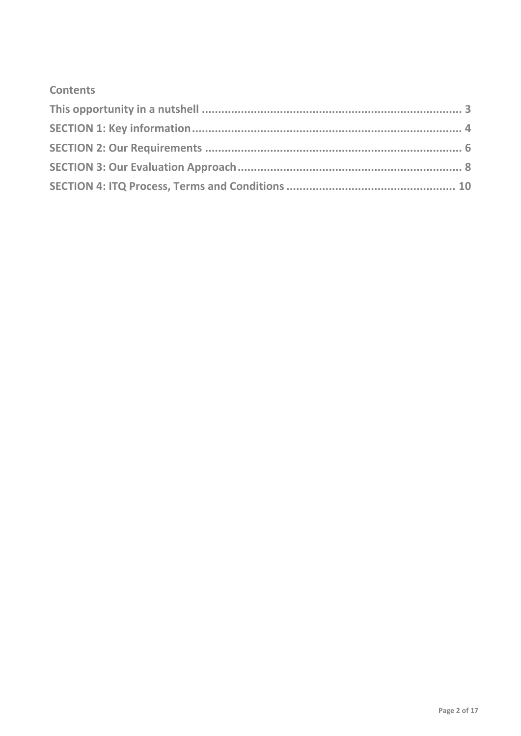### **Contents**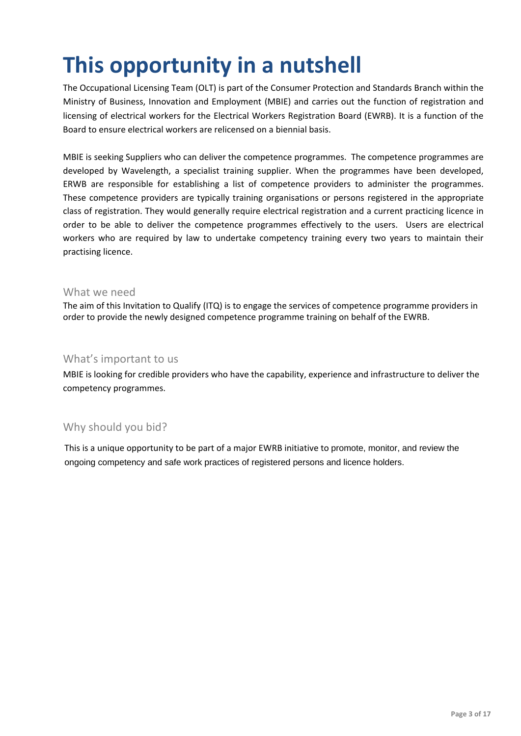## **This opportunity in a nutshell**

 The Occupational Licensing Team (OLT) is part of the Consumer Protection and Standards Branch within the Ministry of Business, Innovation and Employment (MBIE) and carries out the function of registration and licensing of electrical workers for the Electrical Workers Registration Board (EWRB). It is a function of the Board to ensure electrical workers are relicensed on a biennial basis.

 MBIE is seeking Suppliers who can deliver the competence programmes. The competence programmes are developed by Wavelength, a specialist training supplier. When the programmes have been developed, ERWB are responsible for establishing a list of competence providers to administer the programmes. These competence providers are typically training organisations or persons registered in the appropriate class of registration. They would generally require electrical registration and a current practicing licence in order to be able to deliver the competence programmes effectively to the users. Users are electrical workers who are required by law to undertake competency training every two years to maintain their practising licence.

### What we need

 The aim of this Invitation to Qualify (ITQ) is to engage the services of competence programme providers in order to provide the newly designed competence programme training on behalf of the EWRB.

### What's important to us

 MBIE is looking for credible providers who have the capability, experience and infrastructure to deliver the competency programmes.

### Why should you bid?

 This is a unique opportunity to be part of a major EWRB initiative to promote, monitor, and review the ongoing competency and safe work practices of registered persons and licence holders.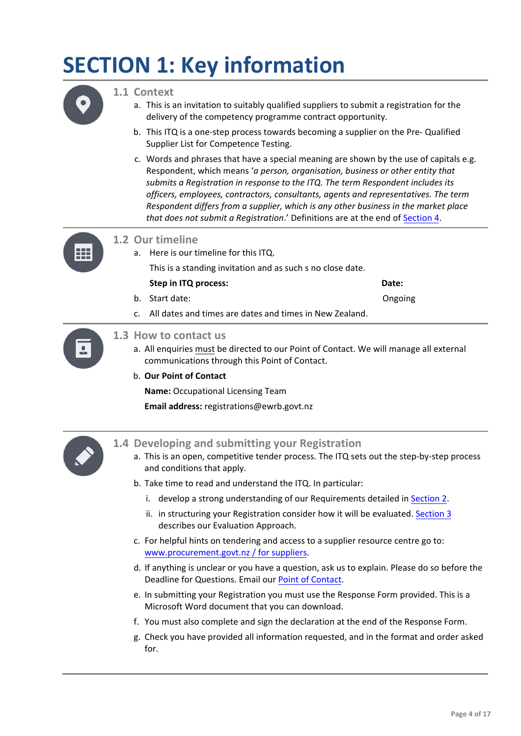## **SECTION 1: Key information**



#### **1.1 Context**

- a. This is an invitation to suitably qualified suppliers to submit a registration for the delivery of the competency programme contract opportunity.
- b. This ITQ is a one‐step process towards becoming a supplier on the Pre‐ Qualified Supplier List for Competence Testing.
- c. Words and phrases that have a special meaning are shown by the use of capitals e.g.  Respondent, which means '*a person, organisation, business or other entity that submits a Registration in response to the ITQ. The term Respondent includes its officers, employees, contractors, consultants, agents and representatives. The term Respondent differs from a supplier, which is any other business in the market place that does not submit a Registration*.' Definitions are at the end of [Section](#page-15-0) 4.



### **1.2 Our timeline**

- a. Here is our timeline for this ITQ. This is a standing invitation and as such s no close date.
- **Step in ITQ process: Date:** b. Start date: Ongoing
- c. All dates and times are dates and times in New Zealand.



### **1.3 How to contact us**

a. All enquiries must be directed to our Point of Contact. We will manage all external communications through this Point of Contact.

#### b. **Our Point of Contact**

**Name:** Occupational Licensing Team

**Email address:** registrations@ewrb.govt.nz



### **1.4 Developing and submitting your Registration**

- a. This is an open, competitive tender process. The ITQ sets out the step‐by‐step process and conditions that apply.
- b. Take time to read and understand the ITQ. In particular:
	- i. develop a strong understanding of our Requirements detailed in **[Section](#page-5-0) 2**.
	- ii. in structuring your Registration consider how it will be evaluated. [Section](#page-7-0) 3 describes our Evaluation Approach.
- c. For helpful hints on tendering and access to a supplier resource centre go to: [www.procurement.govt.nz](www.ewrb.govt.nzwww.procurement.govt.nz) / for suppliers.
- d. If anything is unclear or you have a question, ask us to explain. Please do so before the Deadline for Questions. Email our Point of [Contact](www.ewrb.govt.nzregistrations@ewrb.govt.nz).
- e. In submitting your Registration you must use the Response Form provided. This is a Microsoft Word document that you can download.
- f. You must also complete and sign the declaration at the end of the Response Form.
- g. Check you have provided all information requested, and in the format and order asked for.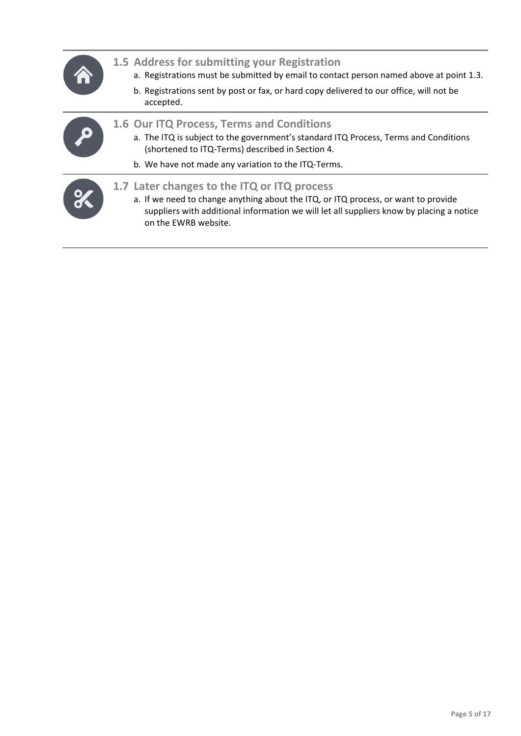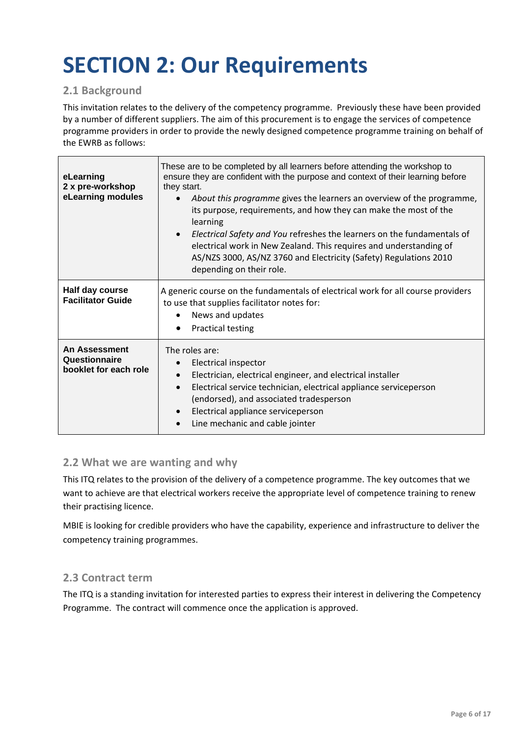## <span id="page-5-0"></span> **SECTION 2: Our Requirements**

### **2.1 Background**

 This invitation relates to the delivery of the competency programme. Previously these have been provided by a number of different suppliers. The aim of this procurement is to engage the services of competence programme providers in order to provide the newly designed competence programme training on behalf of the EWRB as follows:

| eLearning<br>2 x pre-workshop<br>eLearning modules             | These are to be completed by all learners before attending the workshop to<br>ensure they are confident with the purpose and context of their learning before<br>they start.<br>About this programme gives the learners an overview of the programme,<br>its purpose, requirements, and how they can make the most of the<br>learning<br>Electrical Safety and You refreshes the learners on the fundamentals of<br>electrical work in New Zealand. This requires and understanding of<br>AS/NZS 3000, AS/NZ 3760 and Electricity (Safety) Regulations 2010<br>depending on their role. |
|----------------------------------------------------------------|-----------------------------------------------------------------------------------------------------------------------------------------------------------------------------------------------------------------------------------------------------------------------------------------------------------------------------------------------------------------------------------------------------------------------------------------------------------------------------------------------------------------------------------------------------------------------------------------|
| Half day course<br><b>Facilitator Guide</b>                    | A generic course on the fundamentals of electrical work for all course providers<br>to use that supplies facilitator notes for:<br>News and updates<br>$\bullet$<br><b>Practical testing</b><br>$\bullet$                                                                                                                                                                                                                                                                                                                                                                               |
| <b>An Assessment</b><br>Questionnaire<br>booklet for each role | The roles are:<br>Electrical inspector<br>Electrician, electrical engineer, and electrical installer<br>$\bullet$<br>Electrical service technician, electrical appliance serviceperson<br>(endorsed), and associated tradesperson<br>Electrical appliance serviceperson<br>Line mechanic and cable jointer                                                                                                                                                                                                                                                                              |

### **2.2 What we are wanting and why**

 This ITQ relates to the provision of the delivery of a competence programme. The key outcomes that we want to achieve are that electrical workers receive the appropriate level of competence training to renew their practising licence.

 MBIE is looking for credible providers who have the capability, experience and infrastructure to deliver the competency training programmes.

### **2.3 Contract term**

 The ITQ is a standing invitation for interested parties to express their interest in delivering the Competency Programme. The contract will commence once the application is approved.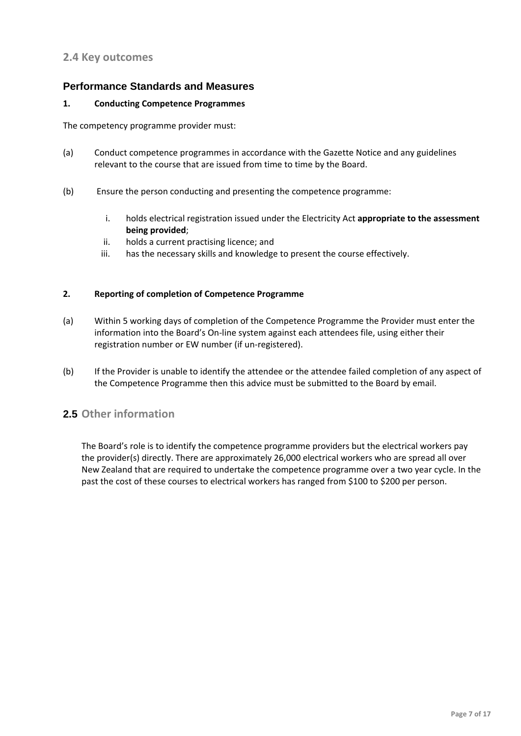### **2.4 Key outcomes**

#### **Performance Standards and Measures**

#### **1. Conducting Competence Programmes**

The competency programme provider must:

- (a) Conduct competence programmes in accordance with the Gazette Notice and any guidelines relevant to the course that are issued from time to time by the Board.
- (b) Ensure the person conducting and presenting the competence programme:
	- i. holds electrical registration issued under the Electricity Act **appropriate to the assessment being provided**;
	- ii. holds a current practising licence; and
	- iii. has the necessary skills and knowledge to present the course effectively.

#### **2. Reporting of completion of Competence Programme**

- (a) Within 5 working days of completion of the Competence Programme the Provider must enter the information into the Board's On‐line system against each attendees file, using either their registration number or EW number (if un‐registered).
- (b) If the Provider is unable to identify the attendee or the attendee failed completion of any aspect of the Competence Programme then this advice must be submitted to the Board by email.

### **2.5 Other information**

 The Board's role is to identify the competence programme providers but the electrical workers pay the provider(s) directly. There are approximately 26,000 electrical workers who are spread all over New Zealand that are required to undertake the competence programme over a two year cycle. In the past the cost of these courses to electrical workers has ranged from \$100 to \$200 per person.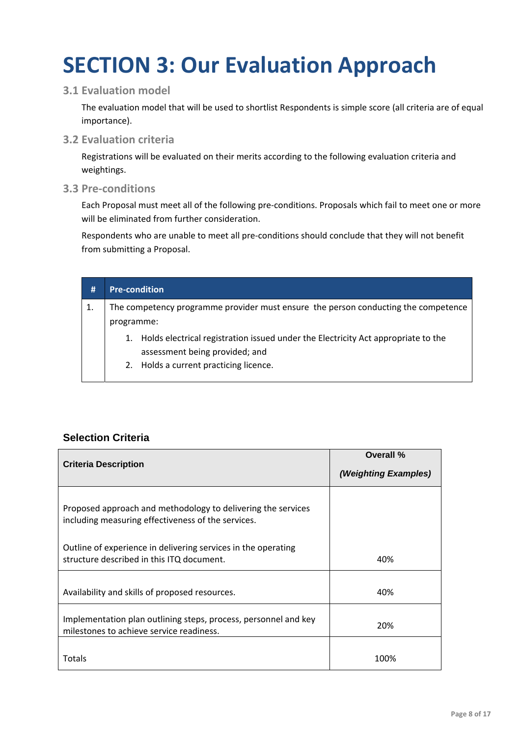## <span id="page-7-0"></span> **SECTION 3: Our Evaluation Approach**

### **3.1 Evaluation model**

 The evaluation model that will be used to shortlist Respondents is simple score (all criteria are of equal importance).

### **3.2 Evaluation criteria**

 Registrations will be evaluated on their merits according to the following evaluation criteria and weightings.

### **3.3 Pre‐conditions**

 Each Proposal must meet all of the following pre‐conditions. Proposals which fail to meet one or more will be eliminated from further consideration.

 Respondents who are unable to meet all pre‐conditions should conclude that they will not benefit from submitting a Proposal.

| #  | <b>Pre-condition</b>                                                               |                                                                                                                     |
|----|------------------------------------------------------------------------------------|---------------------------------------------------------------------------------------------------------------------|
| 1. | The competency programme provider must ensure the person conducting the competence |                                                                                                                     |
|    | programme:                                                                         |                                                                                                                     |
|    | 1.                                                                                 | Holds electrical registration issued under the Electricity Act appropriate to the<br>assessment being provided; and |
|    |                                                                                    | 2. Holds a current practicing licence.                                                                              |

### **Selection Criteria**

| <b>Criteria Description</b>                                                                                        | Overall %<br>(Weighting Examples) |
|--------------------------------------------------------------------------------------------------------------------|-----------------------------------|
|                                                                                                                    |                                   |
| Proposed approach and methodology to delivering the services<br>including measuring effectiveness of the services. |                                   |
| Outline of experience in delivering services in the operating<br>structure described in this ITQ document.         | 40%                               |
|                                                                                                                    |                                   |
| Availability and skills of proposed resources.                                                                     | 40%                               |
| Implementation plan outlining steps, process, personnel and key<br>milestones to achieve service readiness.        | 20%                               |
|                                                                                                                    |                                   |
| Totals                                                                                                             | 100%                              |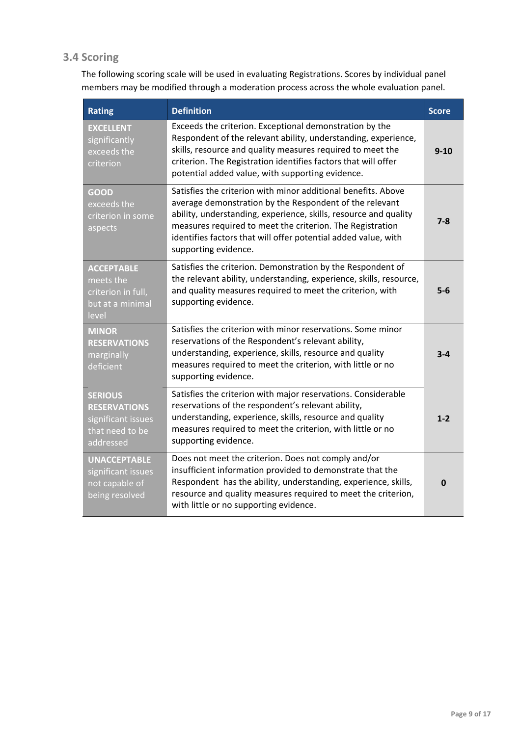### **3.4 Scoring**

 The following scoring scale will be used in evaluating Registrations. Scores by individual panel members may be modified through a moderation process across the whole evaluation panel.

| <b>Rating</b>                                                                               | <b>Definition</b>                                                                                                                                                                                                                                                                                                                                   | <b>Score</b> |
|---------------------------------------------------------------------------------------------|-----------------------------------------------------------------------------------------------------------------------------------------------------------------------------------------------------------------------------------------------------------------------------------------------------------------------------------------------------|--------------|
| <b>EXCELLENT</b><br>significantly<br>exceeds the<br>criterion                               | Exceeds the criterion. Exceptional demonstration by the<br>Respondent of the relevant ability, understanding, experience,<br>skills, resource and quality measures required to meet the<br>criterion. The Registration identifies factors that will offer<br>potential added value, with supporting evidence.                                       | $9 - 10$     |
| GOOD<br>exceeds the<br>criterion in some<br>aspects                                         | Satisfies the criterion with minor additional benefits. Above<br>average demonstration by the Respondent of the relevant<br>ability, understanding, experience, skills, resource and quality<br>measures required to meet the criterion. The Registration<br>identifies factors that will offer potential added value, with<br>supporting evidence. | $7 - 8$      |
| <b>ACCEPTABLE</b><br>meets the<br>criterion in full,<br>but at a minimal<br>level           | Satisfies the criterion. Demonstration by the Respondent of<br>the relevant ability, understanding, experience, skills, resource,<br>and quality measures required to meet the criterion, with<br>supporting evidence.                                                                                                                              | $5-6$        |
| <b>MINOR</b><br><b>RESERVATIONS</b><br>marginally<br>deficient                              | Satisfies the criterion with minor reservations. Some minor<br>reservations of the Respondent's relevant ability,<br>understanding, experience, skills, resource and quality<br>measures required to meet the criterion, with little or no<br>supporting evidence.                                                                                  | $3 - 4$      |
| <b>SERIOUS</b><br><b>RESERVATIONS</b><br>significant issues<br>that need to be<br>addressed | Satisfies the criterion with major reservations. Considerable<br>reservations of the respondent's relevant ability,<br>understanding, experience, skills, resource and quality<br>measures required to meet the criterion, with little or no<br>supporting evidence.                                                                                | $1 - 2$      |
| <b>UNACCEPTABLE</b><br>significant issues<br>not capable of<br>being resolved               | Does not meet the criterion. Does not comply and/or<br>insufficient information provided to demonstrate that the<br>Respondent has the ability, understanding, experience, skills,<br>resource and quality measures required to meet the criterion,<br>with little or no supporting evidence.                                                       | $\mathbf{0}$ |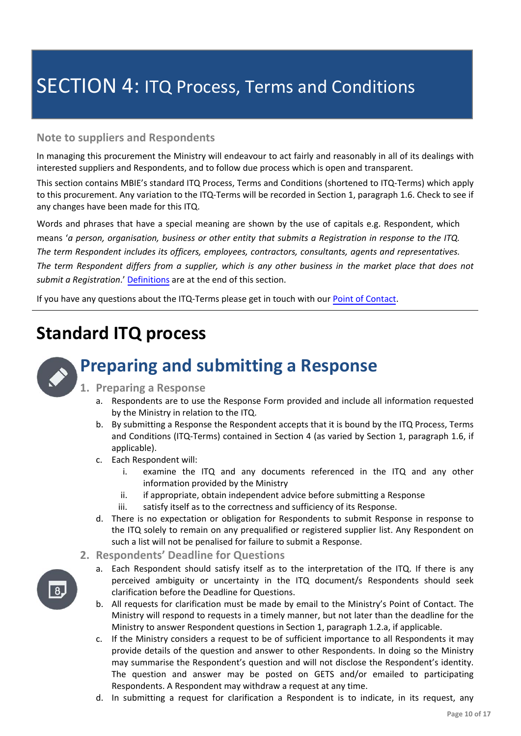### SECTION 4: ITQ Process, Terms and Conditions

### **Note to suppliers and Respondents**

 In managing this procurement the Ministry will endeavour to act fairly and reasonably in all of its dealings with interested suppliers and Respondents, and to follow due process which is open and transparent.

 This section contains MBIE's standard ITQ Process, Terms and Conditions (shortened to ITQ‐Terms) which apply to this procurement. Any variation to the ITQ‐Terms will be recorded in Section 1, paragraph 1.6. Check to see if any changes have been made for this ITQ.

 Words and phrases that have a special meaning are shown by the use of capitals e.g. Respondent, which means 'a person, organisation, business or other entity that submits a Registration in response to the ITQ. The term Respondent includes its officers, employees, contractors, consultants, agents and representatives. The term Respondent differs from a supplier, which is any other business in the market place that does not   *submit a Registration*.' Definitions are at the end of this section.

If you have any questions about the ITQ-Terms please get in touch with our **Point of Contact**.

### **Standard ITQ process**



### **Preparing and submitting a Response**

- **1. Preparing a Response**
	- a. Respondents are to use the Response Form provided and include all information requested by the Ministry in relation to the ITQ.
	- b. By submitting a Response the Respondent accepts that it is bound by the ITQ Process, Terms and Conditions (ITQ‐Terms) contained in Section 4 (as varied by Section 1, paragraph 1.6, if applicable).
	- c. Each Respondent will:
		- i. examine the ITQ and any documents referenced in the ITQ and any other information provided by the Ministry
		- ii. if appropriate, obtain independent advice before submitting a Response
		- iii. satisfy itself as to the correctness and sufficiency of its Response.
	- d. There is no expectation or obligation for Respondents to submit Response in response to the ITQ solely to remain on any prequalified or registered supplier list. Any Respondent on such a list will not be penalised for failure to submit a Response.
- **2. Respondents' Deadline for Questions**
	- a. Each Respondent should satisfy itself as to the interpretation of the ITQ. If there is any perceived ambiguity or uncertainty in the ITQ document/s Respondents should seek clarification before the Deadline for Questions.
	- b. All requests for clarification must be made by email to the Ministry's Point of Contact. The Ministry will respond to requests in a timely manner, but not later than the deadline for the Ministry to answer Respondent questions in Section 1, paragraph 1.2.a, if applicable.
	- c. If the Ministry considers a request to be of sufficient importance to all Respondents it may provide details of the question and answer to other Respondents. In doing so the Ministry may summarise the Respondent's question and will not disclose the Respondent's identity. The question and answer may be posted on GETS and/or emailed to participating Respondents. A Respondent may withdraw a request at any time.
	- d. In submitting a request for clarification a Respondent is to indicate, in its request, any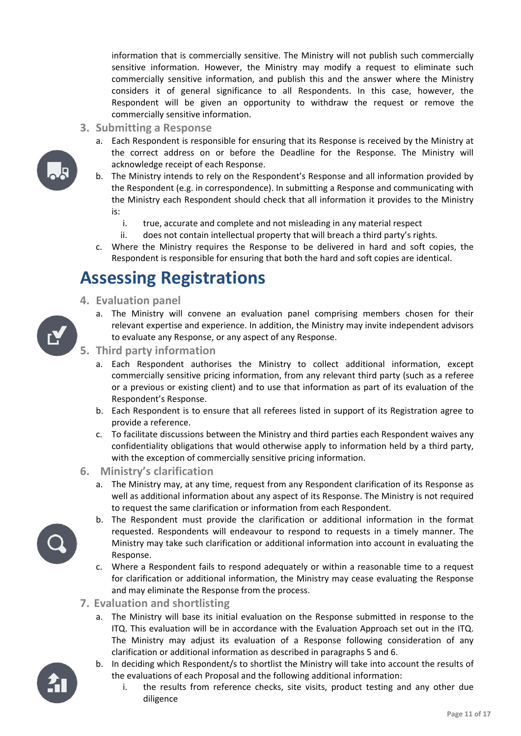information that is commercially sensitive. The Ministry will not publish such commercially sensitive information. However, the Ministry may modify a request to eliminate such commercially sensitive information, and publish this and the answer where the Ministry considers it of general significance to all Respondents. In this case, however, the Respondent will be given an opportunity to withdraw the request or remove the commercially sensitive information.

- **3. Submitting a Response**
	- a. Each Respondent is responsible for ensuring that its Response is received by the Ministry at the correct address on or before the Deadline for the Response. The Ministry will acknowledge receipt of each Response.
	- b. The Ministry intends to rely on the Respondent's Response and all information provided by the Respondent (e.g. in correspondence). In submitting a Response and communicating with the Ministry each Respondent should check that all information it provides to the Ministry is:
		- i. true, accurate and complete and not misleading in any material respect
		- ii. does not contain intellectual property that will breach a third party's rights.
	- c. Where the Ministry requires the Response to be delivered in hard and soft copies, the Respondent is responsible for ensuring that both the hard and soft copies are identical.

 a. The Ministry will convene an evaluation panel comprising members chosen for their relevant expertise and experience. In addition, the Ministry may invite independent advisors

### **Assessing Registrations**

- **4. Evaluation panel**
- 
- 
- to evaluate any Response, or any aspect of any Response.  **5. Third party information**
	- a. Each Respondent authorises the Ministry to collect additional information, except commercially sensitive pricing information, from any relevant third party (such as a referee or a previous or existing client) and to use that information as part of its evaluation of the Respondent's Response.
	- b. Each Respondent is to ensure that all referees listed in support of its Registration agree to provide a reference.
	- c. To facilitate discussions between the Ministry and third parties each Respondent waives any confidentiality obligations that would otherwise apply to information held by a third party, with the exception of commercially sensitive pricing information.
- **6. Ministry's clarification**
	- a. The Ministry may, at any time, request from any Respondent clarification of its Response as well as additional information about any aspect of its Response. The Ministry is not required to request the same clarification or information from each Respondent.
	- b. The Respondent must provide the clarification or additional information in the format requested. Respondents will endeavour to respond to requests in a timely manner. The Ministry may take such clarification or additional information into account in evaluating the Response.
	- c. Where a Respondent fails to respond adequately or within a reasonable time to a request for clarification or additional information, the Ministry may cease evaluating the Response and may eliminate the Response from the process.
- **7. Evaluation and shortlisting**
	- a. The Ministry will base its initial evaluation on the Response submitted in response to the ITQ. This evaluation will be in accordance with the Evaluation Approach set out in the ITQ. The Ministry may adjust its evaluation of a Response following consideration of any clarification or additional information as described in paragraphs 5 and 6.
	- b. In deciding which Respondent/s to shortlist the Ministry will take into account the results of the evaluations of each Proposal and the following additional information:
		- i. the results from reference checks, site visits, product testing and any other due diligence

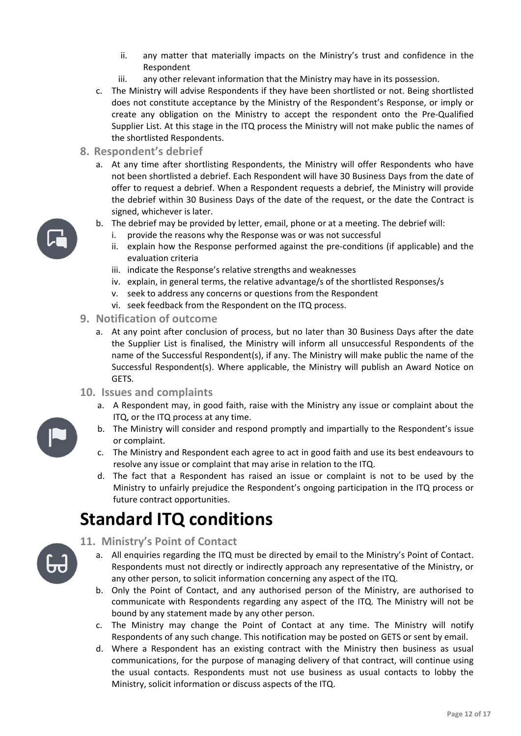- ii. any matter that materially impacts on the Ministry's trust and confidence in the Respondent
- iii. any other relevant information that the Ministry may have in its possession.
- c. The Ministry will advise Respondents if they have been shortlisted or not. Being shortlisted does not constitute acceptance by the Ministry of the Respondent's Response, or imply or create any obligation on the Ministry to accept the respondent onto the Pre‐Qualified Supplier List. At this stage in the ITQ process the Ministry will not make public the names of the shortlisted Respondents.
- **8. Respondent's debrief**
	- a. At any time after shortlisting Respondents, the Ministry will offer Respondents who have not been shortlisted a debrief. Each Respondent will have 30 Business Days from the date of offer to request a debrief. When a Respondent requests a debrief, the Ministry will provide the debrief within 30 Business Days of the date of the request, or the date the Contract is signed, whichever is later.
	- b. The debrief may be provided by letter, email, phone or at a meeting. The debrief will:
		- i. provide the reasons why the Response was or was not successful
		- ii. explain how the Response performed against the pre‐conditions (if applicable) and the evaluation criteria
		- iii. indicate the Response's relative strengths and weaknesses
		- iv. explain, in general terms, the relative advantage/s of the shortlisted Responses/s
		- v. seek to address any concerns or questions from the Respondent
		- vi. seek feedback from the Respondent on the ITQ process.
- **9. Notification of outcome**
	- a. At any point after conclusion of process, but no later than 30 Business Days after the date the Supplier List is finalised, the Ministry will inform all unsuccessful Respondents of the name of the Successful Respondent(s), if any. The Ministry will make public the name of the Successful Respondent(s). Where applicable, the Ministry will publish an Award Notice on GETS.
- **10. Issues and complaints**
	- a. A Respondent may, in good faith, raise with the Ministry any issue or complaint about the ITQ, or the ITQ process at any time.
	- b. The Ministry will consider and respond promptly and impartially to the Respondent's issue or complaint.
	- c. The Ministry and Respondent each agree to act in good faith and use its best endeavours to resolve any issue or complaint that may arise in relation to the ITQ.
	- d. The fact that a Respondent has raised an issue or complaint is not to be used by the Ministry to unfairly prejudice the Respondent's ongoing participation in the ITQ process or future contract opportunities.

### **Standard ITQ conditions**

 **11. Ministry's Point of Contact**

- a. All enquiries regarding the ITQ must be directed by email to the Ministry's Point of Contact. Respondents must not directly or indirectly approach any representative of the Ministry, or any other person, to solicit information concerning any aspect of the ITQ.
- b. Only the Point of Contact, and any authorised person of the Ministry, are authorised to communicate with Respondents regarding any aspect of the ITQ. The Ministry will not be bound by any statement made by any other person.
- c. The Ministry may change the Point of Contact at any time. The Ministry will notify Respondents of any such change. This notification may be posted on GETS or sent by email.
- d. Where a Respondent has an existing contract with the Ministry then business as usual communications, for the purpose of managing delivery of that contract, will continue using the usual contacts. Respondents must not use business as usual contacts to lobby the Ministry, solicit information or discuss aspects of the ITQ.

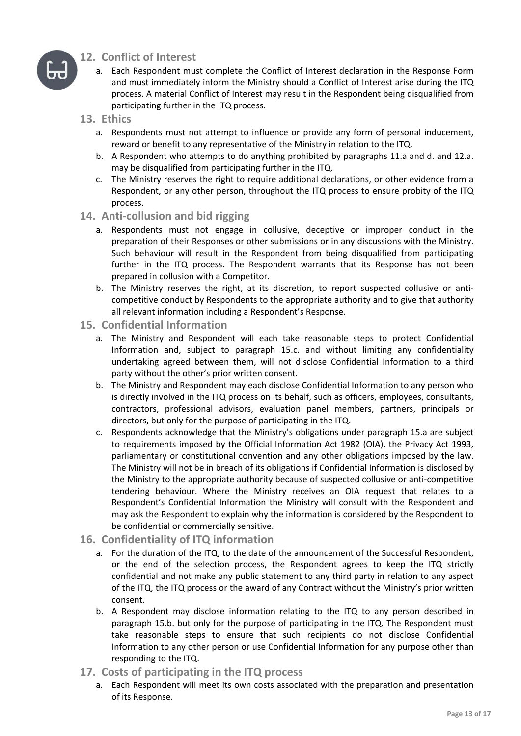

### **12. Conflict of Interest**

- a. Each Respondent must complete the Conflict of Interest declaration in the Response Form and must immediately inform the Ministry should a Conflict of Interest arise during the ITQ process. A material Conflict of Interest may result in the Respondent being disqualified from participating further in the ITQ process.
- **13. Ethics**
	- a. Respondents must not attempt to influence or provide any form of personal inducement, reward or benefit to any representative of the Ministry in relation to the ITQ.
	- b. A Respondent who attempts to do anything prohibited by paragraphs 11.a and d. and 12.a. may be disqualified from participating further in the ITQ.
	- c. The Ministry reserves the right to require additional declarations, or other evidence from a Respondent, or any other person, throughout the ITQ process to ensure probity of the ITQ process.
- **14. Anti‐collusion and bid rigging**
	- a. Respondents must not engage in collusive, deceptive or improper conduct in the preparation of their Responses or other submissions or in any discussions with the Ministry. Such behaviour will result in the Respondent from being disqualified from participating further in the ITQ process. The Respondent warrants that its Response has not been prepared in collusion with a Competitor.
	- b. The Ministry reserves the right, at its discretion, to report suspected collusive or anti‐ competitive conduct by Respondents to the appropriate authority and to give that authority all relevant information including a Respondent's Response.
- **15. Confidential Information**
	- a. The Ministry and Respondent will each take reasonable steps to protect Confidential Information and, subject to paragraph 15.c. and without limiting any confidentiality undertaking agreed between them, will not disclose Confidential Information to a third party without the other's prior written consent.
	- b. The Ministry and Respondent may each disclose Confidential Information to any person who is directly involved in the ITQ process on its behalf, such as officers, employees, consultants, contractors, professional advisors, evaluation panel members, partners, principals or directors, but only for the purpose of participating in the ITQ.
	- c. Respondents acknowledge that the Ministry's obligations under paragraph 15.a are subject to requirements imposed by the Official Information Act 1982 (OIA), the Privacy Act 1993, parliamentary or constitutional convention and any other obligations imposed by the law. The Ministry will not be in breach of its obligations if Confidential Information is disclosed by the Ministry to the appropriate authority because of suspected collusive or anti‐competitive tendering behaviour. Where the Ministry receives an OIA request that relates to a Respondent's Confidential Information the Ministry will consult with the Respondent and may ask the Respondent to explain why the information is considered by the Respondent to be confidential or commercially sensitive.

### **16. Confidentiality of ITQ information**

- a. For the duration of the ITQ, to the date of the announcement of the Successful Respondent, or the end of the selection process, the Respondent agrees to keep the ITQ strictly confidential and not make any public statement to any third party in relation to any aspect of the ITQ, the ITQ process or the award of any Contract without the Ministry's prior written consent.
- b. A Respondent may disclose information relating to the ITQ to any person described in paragraph 15.b. but only for the purpose of participating in the ITQ. The Respondent must take reasonable steps to ensure that such recipients do not disclose Confidential Information to any other person or use Confidential Information for any purpose other than responding to the ITQ.
- **17. Costs of participating in the ITQ process**
	- a. Each Respondent will meet its own costs associated with the preparation and presentation of its Response.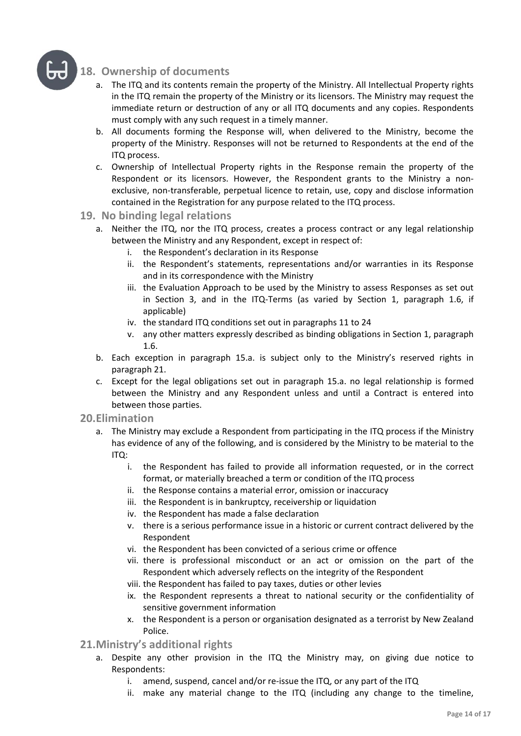

### **18. Ownership of documents**

- a. The ITQ and its contents remain the property of the Ministry. All Intellectual Property rights in the ITQ remain the property of the Ministry or its licensors. The Ministry may request the immediate return or destruction of any or all ITQ documents and any copies. Respondents must comply with any such request in a timely manner.
- b. All documents forming the Response will, when delivered to the Ministry, become the property of the Ministry. Responses will not be returned to Respondents at the end of the ITQ process.
- c. Ownership of Intellectual Property rights in the Response remain the property of the Respondent or its licensors. However, the Respondent grants to the Ministry a non‐ exclusive, non-transferable, perpetual licence to retain, use, copy and disclose information contained in the Registration for any purpose related to the ITQ process.

### **19. No binding legal relations**

- a. Neither the ITQ, nor the ITQ process, creates a process contract or any legal relationship between the Ministry and any Respondent, except in respect of:
	- i. the Respondent's declaration in its Response
	- ii. the Respondent's statements, representations and/or warranties in its Response and in its correspondence with the Ministry
	- iii. the Evaluation Approach to be used by the Ministry to assess Responses as set out in Section 3, and in the ITQ‐Terms (as varied by Section 1, paragraph 1.6, if applicable)
	- iv. the standard ITQ conditions set out in paragraphs 11 to 24
	- v. any other matters expressly described as binding obligations in Section 1, paragraph 1.6.
- b. Each exception in paragraph 15.a. is subject only to the Ministry's reserved rights in paragraph 21.
- c. Except for the legal obligations set out in paragraph 15.a. no legal relationship is formed between the Ministry and any Respondent unless and until a Contract is entered into between those parties.

#### **20.Elimination**

- a. The Ministry may exclude a Respondent from participating in the ITQ process if the Ministry has evidence of any of the following, and is considered by the Ministry to be material to the ITQ:
	- i. the Respondent has failed to provide all information requested, or in the correct format, or materially breached a term or condition of the ITQ process
	- ii. the Response contains a material error, omission or inaccuracy
	- iii. the Respondent is in bankruptcy, receivership or liquidation
	- iv. the Respondent has made a false declaration
	- v. there is a serious performance issue in a historic or current contract delivered by the Respondent
	- vi. the Respondent has been convicted of a serious crime or offence
	- vii. there is professional misconduct or an act or omission on the part of the Respondent which adversely reflects on the integrity of the Respondent
	- viii. the Respondent has failed to pay taxes, duties or other levies
	- ix. the Respondent represents a threat to national security or the confidentiality of sensitive government information
	- x. the Respondent is a person or organisation designated as a terrorist by New Zealand Police.

### **21.Ministry's additional rights**

- a. Despite any other provision in the ITQ the Ministry may, on giving due notice to Respondents:
	- i. amend, suspend, cancel and/or re‐issue the ITQ, or any part of the ITQ
	- ii. make any material change to the ITQ (including any change to the timeline,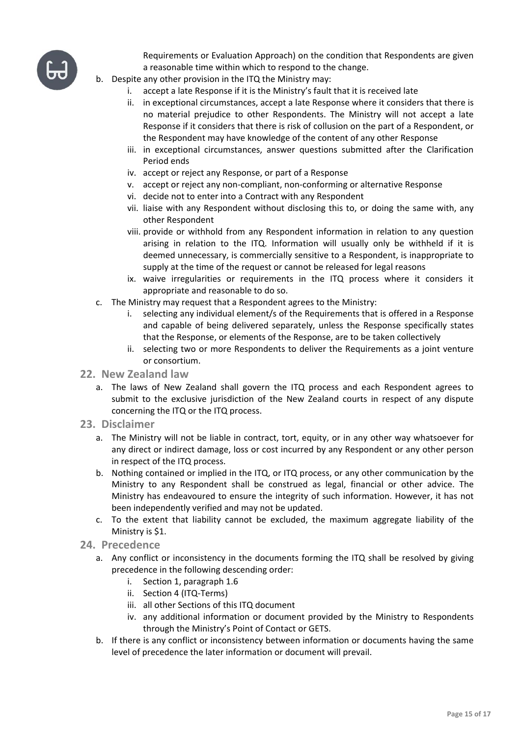

 Requirements or Evaluation Approach) on the condition that Respondents are given a reasonable time within which to respond to the change.

- b. Despite any other provision in the ITQ the Ministry may:
	- i. accept a late Response if it is the Ministry's fault that it is received late
	- ii. in exceptional circumstances, accept a late Response where it considers that there is no material prejudice to other Respondents. The Ministry will not accept a late Response if it considers that there is risk of collusion on the part of a Respondent, or the Respondent may have knowledge of the content of any other Response
	- iii. in exceptional circumstances, answer questions submitted after the Clarification Period ends
	- iv. accept or reject any Response, or part of a Response
	- v. accept or reject any non‐compliant, non‐conforming or alternative Response
	- vi. decide not to enter into a Contract with any Respondent
	- vii. liaise with any Respondent without disclosing this to, or doing the same with, any other Respondent
	- viii. provide or withhold from any Respondent information in relation to any question arising in relation to the ITQ. Information will usually only be withheld if it is deemed unnecessary, is commercially sensitive to a Respondent, is inappropriate to supply at the time of the request or cannot be released for legal reasons
	- ix. waive irregularities or requirements in the ITQ process where it considers it appropriate and reasonable to do so.
- c. The Ministry may request that a Respondent agrees to the Ministry:
	- i. selecting any individual element/s of the Requirements that is offered in a Response and capable of being delivered separately, unless the Response specifically states that the Response, or elements of the Response, are to be taken collectively
	- ii. selecting two or more Respondents to deliver the Requirements as a joint venture or consortium.
- **22. New Zealand law**
	- a. The laws of New Zealand shall govern the ITQ process and each Respondent agrees to submit to the exclusive jurisdiction of the New Zealand courts in respect of any dispute concerning the ITQ or the ITQ process.
- **23. Disclaimer**
	- a. The Ministry will not be liable in contract, tort, equity, or in any other way whatsoever for any direct or indirect damage, loss or cost incurred by any Respondent or any other person in respect of the ITQ process.
	- b. Nothing contained or implied in the ITQ, or ITQ process, or any other communication by the Ministry to any Respondent shall be construed as legal, financial or other advice. The Ministry has endeavoured to ensure the integrity of such information. However, it has not been independently verified and may not be updated.
	- c. To the extent that liability cannot be excluded, the maximum aggregate liability of the Ministry is \$1.
- **24. Precedence**
	- a. Any conflict or inconsistency in the documents forming the ITQ shall be resolved by giving precedence in the following descending order:
		- i. Section 1, paragraph 1.6
		- ii. Section 4 (ITQ‐Terms)
		- iii. all other Sections of this ITQ document
		- iv. any additional information or document provided by the Ministry to Respondents through the Ministry's Point of Contact or GETS.
	- b. If there is any conflict or inconsistency between information or documents having the same level of precedence the later information or document will prevail.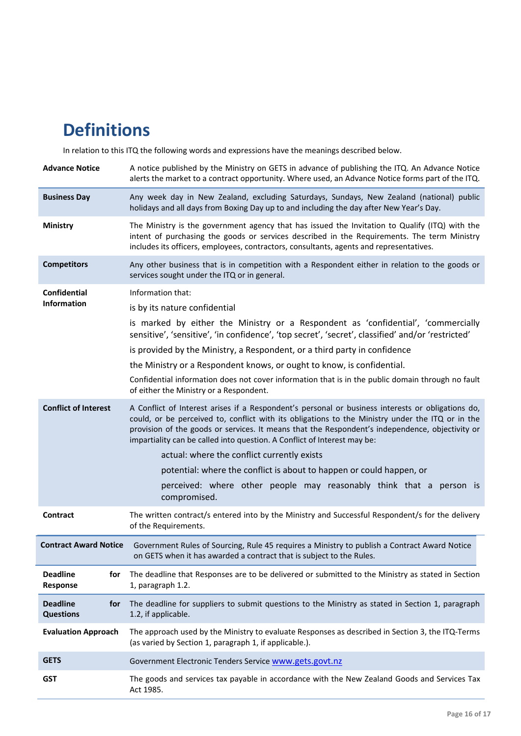### <span id="page-15-0"></span>**Definitions**

In relation to this ITQ the following words and expressions have the meanings described below.

| <b>Advance Notice</b>                                             | A notice published by the Ministry on GETS in advance of publishing the ITQ. An Advance Notice<br>alerts the market to a contract opportunity. Where used, an Advance Notice forms part of the ITQ.                                                                                                                                                                                                                                                                                                                                                                                                                                                                                                                                                                                                                                                                                                                                                                                                                                                                                                                                       |
|-------------------------------------------------------------------|-------------------------------------------------------------------------------------------------------------------------------------------------------------------------------------------------------------------------------------------------------------------------------------------------------------------------------------------------------------------------------------------------------------------------------------------------------------------------------------------------------------------------------------------------------------------------------------------------------------------------------------------------------------------------------------------------------------------------------------------------------------------------------------------------------------------------------------------------------------------------------------------------------------------------------------------------------------------------------------------------------------------------------------------------------------------------------------------------------------------------------------------|
| <b>Business Day</b>                                               | Any week day in New Zealand, excluding Saturdays, Sundays, New Zealand (national) public<br>holidays and all days from Boxing Day up to and including the day after New Year's Day.                                                                                                                                                                                                                                                                                                                                                                                                                                                                                                                                                                                                                                                                                                                                                                                                                                                                                                                                                       |
| Ministry                                                          | The Ministry is the government agency that has issued the Invitation to Qualify (ITQ) with the<br>intent of purchasing the goods or services described in the Requirements. The term Ministry<br>includes its officers, employees, contractors, consultants, agents and representatives.                                                                                                                                                                                                                                                                                                                                                                                                                                                                                                                                                                                                                                                                                                                                                                                                                                                  |
| <b>Competitors</b>                                                | Any other business that is in competition with a Respondent either in relation to the goods or<br>services sought under the ITQ or in general.                                                                                                                                                                                                                                                                                                                                                                                                                                                                                                                                                                                                                                                                                                                                                                                                                                                                                                                                                                                            |
| <b>Confidential</b><br>Information<br><b>Conflict of Interest</b> | Information that:<br>is by its nature confidential<br>is marked by either the Ministry or a Respondent as 'confidential', 'commercially<br>sensitive', 'sensitive', 'in confidence', 'top secret', 'secret', classified' and/or 'restricted'<br>is provided by the Ministry, a Respondent, or a third party in confidence<br>the Ministry or a Respondent knows, or ought to know, is confidential.<br>Confidential information does not cover information that is in the public domain through no fault<br>of either the Ministry or a Respondent.<br>A Conflict of Interest arises if a Respondent's personal or business interests or obligations do,<br>could, or be perceived to, conflict with its obligations to the Ministry under the ITQ or in the<br>provision of the goods or services. It means that the Respondent's independence, objectivity or<br>impartiality can be called into question. A Conflict of Interest may be:<br>actual: where the conflict currently exists<br>potential: where the conflict is about to happen or could happen, or<br>perceived: where other people may reasonably think that a person is |
| Contract                                                          | compromised.<br>The written contract/s entered into by the Ministry and Successful Respondent/s for the delivery<br>of the Requirements.                                                                                                                                                                                                                                                                                                                                                                                                                                                                                                                                                                                                                                                                                                                                                                                                                                                                                                                                                                                                  |
| <b>Contract Award Notice</b>                                      | Government Rules of Sourcing, Rule 45 requires a Ministry to publish a Contract Award Notice<br>on GETS when it has awarded a contract that is subject to the Rules.                                                                                                                                                                                                                                                                                                                                                                                                                                                                                                                                                                                                                                                                                                                                                                                                                                                                                                                                                                      |
| <b>Deadline</b><br>for<br>Response                                | The deadline that Responses are to be delivered or submitted to the Ministry as stated in Section<br>1, paragraph 1.2.                                                                                                                                                                                                                                                                                                                                                                                                                                                                                                                                                                                                                                                                                                                                                                                                                                                                                                                                                                                                                    |
| <b>Deadline</b><br>for<br><b>Questions</b>                        | The deadline for suppliers to submit questions to the Ministry as stated in Section 1, paragraph<br>1.2, if applicable.                                                                                                                                                                                                                                                                                                                                                                                                                                                                                                                                                                                                                                                                                                                                                                                                                                                                                                                                                                                                                   |
| <b>Evaluation Approach</b>                                        | The approach used by the Ministry to evaluate Responses as described in Section 3, the ITQ-Terms<br>(as varied by Section 1, paragraph 1, if applicable.).                                                                                                                                                                                                                                                                                                                                                                                                                                                                                                                                                                                                                                                                                                                                                                                                                                                                                                                                                                                |
| <b>GETS</b>                                                       | Government Electronic Tenders Service www.gets.govt.nz                                                                                                                                                                                                                                                                                                                                                                                                                                                                                                                                                                                                                                                                                                                                                                                                                                                                                                                                                                                                                                                                                    |
| <b>GST</b>                                                        | The goods and services tax payable in accordance with the New Zealand Goods and Services Tax<br>Act 1985.                                                                                                                                                                                                                                                                                                                                                                                                                                                                                                                                                                                                                                                                                                                                                                                                                                                                                                                                                                                                                                 |